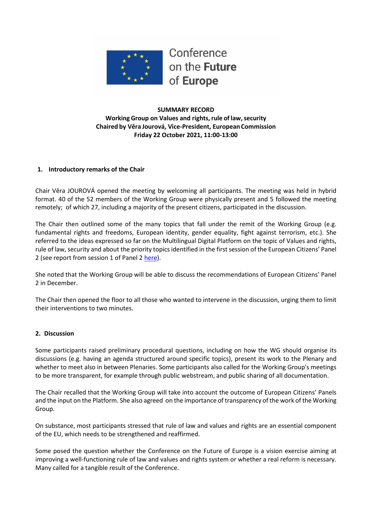

Conference on the Future of Europe

## **SUMMARY RECORD Working Group on Values and rights, rule of law, security Chaired by Věra Jourová, Vice-President, European Commission Friday 22 October 2021, 11:00-13:00**

## **1. Introductory remarks of the Chair**

Chair Věra JOUROVÁ opened the meeting by welcoming all participants. The meeting was held in hybrid format. 40 of the 52 members of the Working Group were physically present and 5 followed the meeting remotely; of which 27, including a majority of the present citizens, participated in the discussion.

The Chair then outlined some of the many topics that fall under the remit of the Working Group (e.g. fundamental rights and freedoms, European identity, gender equality, fight against terrorism, etc.). She referred to the ideas expressed so far on the Multilingual Digital Platform on the topic of Values and rights, rule of law, security and about the priority topics identified in the first session of the European Citizens' Panel 2 (see report from session 1 of Panel 2 [here\)](https://futureu.europa.eu/assemblies/citizens-panels/f/299/).

She noted that the Working Group will be able to discuss the recommendations of European Citizens' Panel 2 in December.

The Chair then opened the floor to all those who wanted to intervene in the discussion, urging them to limit their interventions to two minutes.

#### **2. Discussion**

Some participants raised preliminary procedural questions, including on how the WG should organise its discussions (e.g. having an agenda structured around specific topics), present its work to the Plenary and whether to meet also in between Plenaries. Some participants also called for the Working Group's meetings to be more transparent, for example through public webstream, and public sharing of all documentation.

The Chair recalled that the Working Group will take into account the outcome of European Citizens' Panels and the input on the Platform. She also agreed on the importance of transparency of the work of the Working Group.

On substance, most participants stressed that rule of law and values and rights are an essential component of the EU, which needs to be strengthened and reaffirmed.

Some posed the question whether the Conference on the Future of Europe is a vision exercise aiming at improving a well-functioning rule of law and values and rights system or whether a real reform is necessary. Many called for a tangible result of the Conference.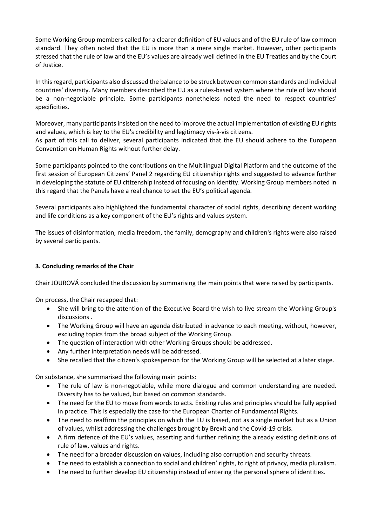Some Working Group members called for a clearer definition of EU values and of the EU rule of law common standard. They often noted that the EU is more than a mere single market. However, other participants stressed that the rule of law and the EU's values are already well defined in the EU Treaties and by the Court of Justice.

In this regard, participants also discussed the balance to be struck between common standards and individual countries' diversity. Many members described the EU as a rules-based system where the rule of law should be a non-negotiable principle. Some participants nonetheless noted the need to respect countries' specificities.

Moreover, many participants insisted on the need to improve the actual implementation of existing EU rights and values, which is key to the EU's credibility and legitimacy vis-à-vis citizens.

As part of this call to deliver, several participants indicated that the EU should adhere to the European Convention on Human Rights without further delay.

Some participants pointed to the contributions on the Multilingual Digital Platform and the outcome of the first session of European Citizens' Panel 2 regarding EU citizenship rights and suggested to advance further in developing the statute of EU citizenship instead of focusing on identity. Working Group members noted in this regard that the Panels have a real chance to set the EU's political agenda.

Several participants also highlighted the fundamental character of social rights, describing decent working and life conditions as a key component of the EU's rights and values system.

The issues of disinformation, media freedom, the family, demography and children's rights were also raised by several participants.

## **3. Concluding remarks of the Chair**

Chair JOUROVÁ concluded the discussion by summarising the main points that were raised by participants.

On process, the Chair recapped that:

- She will bring to the attention of the Executive Board the wish to live stream the Working Group's discussions .
- The Working Group will have an agenda distributed in advance to each meeting, without, however, excluding topics from the broad subject of the Working Group.
- The question of interaction with other Working Groups should be addressed.
- Any further interpretation needs will be addressed.
- She recalled that the citizen's spokesperson for the Working Group will be selected at a later stage.

On substance, she summarised the following main points:

- The rule of law is non-negotiable, while more dialogue and common understanding are needed. Diversity has to be valued, but based on common standards.
- The need for the EU to move from words to acts. Existing rules and principles should be fully applied in practice. This is especially the case for the European Charter of Fundamental Rights.
- The need to reaffirm the principles on which the EU is based, not as a single market but as a Union of values, whilst addressing the challenges brought by Brexit and the Covid-19 crisis.
- A firm defence of the EU's values, asserting and further refining the already existing definitions of rule of law, values and rights.
- The need for a broader discussion on values, including also corruption and security threats.
- The need to establish a connection to social and children' rights, to right of privacy, media pluralism.
- The need to further develop EU citizenship instead of entering the personal sphere of identities.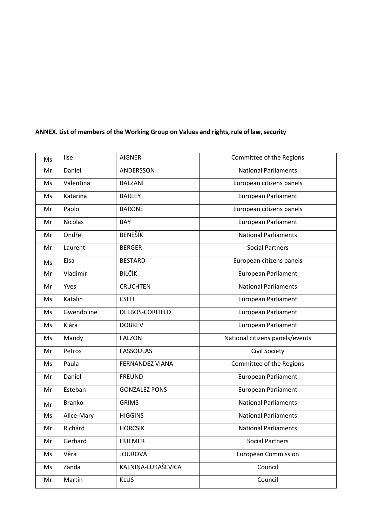| Ms | Ilse           | <b>AIGNER</b>          | Committee of the Regions        |
|----|----------------|------------------------|---------------------------------|
| Mr | Daniel         | ANDERSSON              | <b>National Parliaments</b>     |
| Ms | Valentina      | <b>BALZANI</b>         | European citizens panels        |
| Ms | Katarina       | <b>BARLEY</b>          | European Parliament             |
| Mr | Paolo          | <b>BARONE</b>          | European citizens panels        |
| Mr | <b>Nicolas</b> | <b>BAY</b>             | European Parliament             |
| Mr | Ondřej         | <b>BENEŠÍK</b>         | <b>National Parliaments</b>     |
| Mr | Laurent        | <b>BERGER</b>          | <b>Social Partners</b>          |
| Ms | Elsa           | <b>BESTARD</b>         | European citizens panels        |
| Mr | Vladimír       | <b>BILČÍK</b>          | European Parliament             |
| Mr | Yves           | <b>CRUCHTEN</b>        | <b>National Parliaments</b>     |
| Ms | Katalin        | <b>CSEH</b>            | <b>European Parliament</b>      |
| Ms | Gwendoline     | DELBOS-CORFIELD        | <b>European Parliament</b>      |
| Ms | Klára          | <b>DOBREV</b>          | <b>European Parliament</b>      |
| Ms | Mandy          | <b>FALZON</b>          | National citizens panels/events |
| Mr | Petros         | <b>FASSOULAS</b>       | Civil Society                   |
| Ms | Paula          | <b>FERNANDEZ VIANA</b> | Committee of the Regions        |
| Mr | Daniel         | <b>FREUND</b>          | <b>European Parliament</b>      |
| Mr | Esteban        | <b>GONZALEZ PONS</b>   | European Parliament             |
| Mr | <b>Branko</b>  | <b>GRIMS</b>           | <b>National Parliaments</b>     |
| Ms | Alice-Mary     | <b>HIGGINS</b>         | <b>National Parliaments</b>     |
| Mr | Richárd        | <b>HÖRCSIK</b>         | <b>National Parliaments</b>     |
| Mr | Gerhard        | <b>HUEMER</b>          | <b>Social Partners</b>          |
| Ms | Věra           | <b>JOUROVÁ</b>         | <b>European Commission</b>      |
| Ms | Zanda          | KALNIŅA-LUKAŠEVICA     | Council                         |
| Mr | Martin         | <b>KLUS</b>            | Council                         |

# **ANNEX. List of members of the Working Group on Values and rights,rule of law,security**